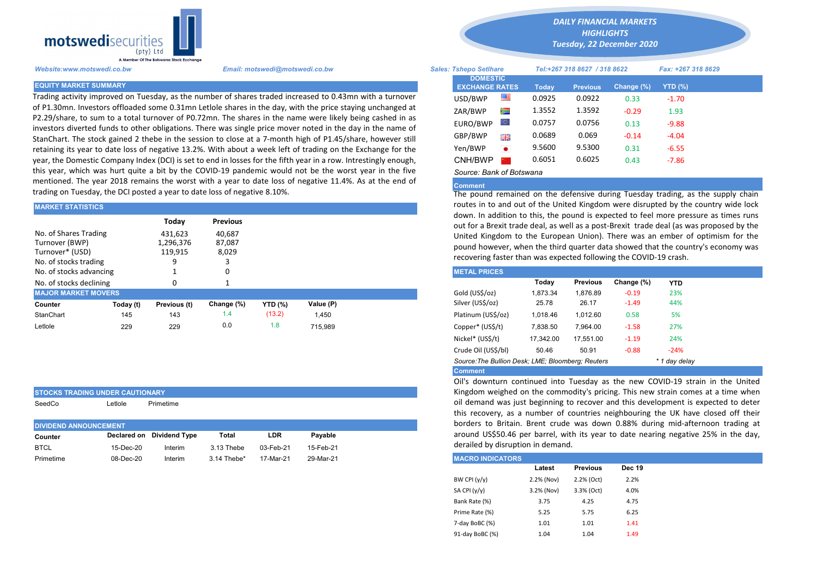

STOCKS TRADING UNDER CAUTIONARY SeedCo Letlole Primetime

Trading activity improved on Tuesday, as the number of shares traded increased to 0.43mn with a turnover of P1.30mn. Investors offloaded some 0.31mn Letlole shares in the day, with the price staying unchanged at P2.29/share, to sum to a total turnover of P0.72mn. The shares in the name were likely being cashed in as investors diverted funds to other obligations. There was single price mover noted in the day in the name of StanChart. The stock gained 2 thebe in the session to close at a 7-month high of P1.45/share, however still retaining its year to date loss of negative 13.2%. With about a week left of trading on the Exchange for the year, the Domestic Company Index (DCI) is set to end in losses for the fifth year in a row. Intrestingly enough, this year, which was hurt quite a bit by the COVID-19 pandemic would not be the worst year in the five mentioned. The year 2018 remains the worst with a year to date loss of negative 11.4%. As at the end of trading on Tuesday, the DCI posted a year to date loss of negative 8.10%.

| <b>MARKET STATISTICS</b>                                                            |           |                                 |                           | routes in to and out of the United Kingdom were disrupted by the c |           |                                                                                                                                                  |                                                                                                                                                                                                          |          |                 |            |            |  |  |
|-------------------------------------------------------------------------------------|-----------|---------------------------------|---------------------------|--------------------------------------------------------------------|-----------|--------------------------------------------------------------------------------------------------------------------------------------------------|----------------------------------------------------------------------------------------------------------------------------------------------------------------------------------------------------------|----------|-----------------|------------|------------|--|--|
|                                                                                     |           | Todav                           | <b>Previous</b>           |                                                                    |           | down. In addition to this, the pound is expected to feel more pressu<br>out for a Brexit trade deal, as well as a post-Brexit trade deal (as was |                                                                                                                                                                                                          |          |                 |            |            |  |  |
| No. of Shares Trading<br>Turnover (BWP)<br>Turnover* (USD)<br>No. of stocks trading |           | 431,623<br>1,296,376<br>119,915 | 40,687<br>87,087<br>8,029 |                                                                    |           |                                                                                                                                                  | United Kingdom to the European Union). There was an ember of o<br>pound however, when the third quarter data showed that the countr<br>recovering faster than was expected following the COVID-19 crash. |          |                 |            |            |  |  |
| No. of stocks advancing                                                             |           |                                 |                           |                                                                    |           |                                                                                                                                                  | <b>METAL PRICES</b>                                                                                                                                                                                      |          |                 |            |            |  |  |
| No. of stocks declining                                                             |           |                                 |                           |                                                                    |           |                                                                                                                                                  |                                                                                                                                                                                                          | Today    | <b>Previous</b> | Change (%) | <b>YTD</b> |  |  |
| <b>MAJOR MARKET MOVERS</b>                                                          |           |                                 |                           |                                                                    |           |                                                                                                                                                  | Gold (US\$/oz)                                                                                                                                                                                           | 1,873.34 | 1.876.89        | $-0.19$    | 23%        |  |  |
| Counter                                                                             | Today (t) | Previous (t)                    | Change (%)                | <b>YTD (%)</b>                                                     | Value (P) |                                                                                                                                                  | Silver (US\$/oz)                                                                                                                                                                                         | 25.78    | 26.17           | $-1.49$    | 44%        |  |  |
| StanChart                                                                           | 145       | 143                             | 1.4                       | (13.2)                                                             | 1.450     |                                                                                                                                                  | Platinum (US\$/oz)                                                                                                                                                                                       | 1.018.46 | 1.012.60        | 0.58       | 5%         |  |  |
| Letlole                                                                             | 229       | 229                             | 0.0                       | 1.8                                                                | 715.989   |                                                                                                                                                  | Copper* (US\$/t)                                                                                                                                                                                         | 7,838.50 | 7.964.00        | $-1.58$    | 27%        |  |  |

| <b>DIVIDEND ANNOUNCEMENT</b> | this recovery, as a<br>borders to Britain. |                           |             |           |           |                         |
|------------------------------|--------------------------------------------|---------------------------|-------------|-----------|-----------|-------------------------|
| Counter                      |                                            | Declared on Dividend Type | Total       | LDR       | Pavable   | around US\$50.46        |
| <b>BTCL</b>                  | 15-Dec-20                                  | Interim                   | 3.13 Thebe  | 03-Feb-21 | 15-Feb-21 | derailed by disrupti    |
| Primetime                    | 08-Dec-20                                  | Interim                   | 3.14 Thebe* | 17-Mar-21 | 29-Mar-21 | <b>MACRO INDICATORS</b> |

*DAILY FINANCIAL MARKETS HIGHLIGHTS*

*Tuesday, 22 December 2020* 

| A Member Of the Borswand Stock Exchange |                                                                                                                                                                                                                         |                                          |           |        |                              |                    |         |  |
|-----------------------------------------|-------------------------------------------------------------------------------------------------------------------------------------------------------------------------------------------------------------------------|------------------------------------------|-----------|--------|------------------------------|--------------------|---------|--|
| Website:www.motswedi.co.bw              | Email: motswedi@motswedi.co.bw                                                                                                                                                                                          | <b>Sales: Tshepo Setlhare</b>            |           |        | Tel:+267 318 8627 / 318 8622 | Fax: +267 318 8629 |         |  |
| <b>EQUITY MARKET SUMMARY</b>            |                                                                                                                                                                                                                         | <b>DOMESTIC</b><br><b>EXCHANGE RATES</b> |           | Today  | <b>Previous</b>              | Change (%)         | YTD(%)  |  |
|                                         | Trading activity improved on Tuesday, as the number of shares traded increased to 0.43mn with a turnover                                                                                                                | USD/BWP                                  | 噻         | 0.0925 | 0.0922                       | 0.33               | $-1.70$ |  |
|                                         | of P1.30mn. Investors offloaded some 0.31mn Letlole shares in the day, with the price staying unchanged at                                                                                                              | ZAR/BWP                                  | ≋         | 1.3552 | 1.3592                       | $-0.29$            | 1.93    |  |
|                                         | 22.29/share, to sum to a total turnover of P0.72mn. The shares in the name were likely being cashed in as<br>nvestors diverted funds to other obligations. There was single price mover noted in the day in the name of | EURO/BWP                                 |           | 0.0757 | 0.0756                       | 0.13               | $-9.88$ |  |
|                                         | itanChart. The stock gained 2 thebe in the session to close at a 7-month high of P1.45/share, however still                                                                                                             | GBP/BWP                                  | 開開        | 0.0689 | 0.069                        | $-0.14$            | -4.04   |  |
|                                         | etaining its year to date loss of negative 13.2%. With about a week left of trading on the Exchange for the                                                                                                             | Yen/BWP                                  | $\bullet$ | 9.5600 | 9.5300                       | 0.31               | $-6.55$ |  |
|                                         | ear, the Domestic Company Index (DCI) is set to end in losses for the fifth year in a row. Intrestingly enough,                                                                                                         | CNH/BWP                                  |           | 0.6051 | 0.6025                       | 0.43               | $-7.86$ |  |
|                                         | his year, which was hurt quite a bit by the COVID-19 pandemic would not be the worst year in the five                                                                                                                   | Source: Bank of Botswana                 |           |        |                              |                    |         |  |

## Comment

The pound remained on the defensive during Tuesday trading, as the supply chain routes in to and out of the United Kingdom were disrupted by the country wide lock down. In addition to this, the pound is expected to feel more pressure as times runs out for a Brexit trade deal, as well as a post-Brexit trade deal (as was proposed by the United Kingdom to the European Union). There was an ember of optimism for the pound however, when the third quarter data showed that the country's economy was recovering faster than was expected following the COVID-19 crash.

| <b>METAL PRICES</b>                               |           |                 |            |               |
|---------------------------------------------------|-----------|-----------------|------------|---------------|
|                                                   | Today     | <b>Previous</b> | Change (%) | <b>YTD</b>    |
| Gold (US\$/oz)                                    | 1.873.34  | 1.876.89        | $-0.19$    | 23%           |
| Silver (US\$/oz)                                  | 25.78     | 26.17           | $-1.49$    | 44%           |
| Platinum (US\$/oz)                                | 1.018.46  | 1.012.60        | 0.58       | 5%            |
| Copper* (US\$/t)                                  | 7.838.50  | 7.964.00        | $-1.58$    | 27%           |
| Nickel* (US\$/t)                                  | 17.342.00 | 17.551.00       | $-1.19$    | 24%           |
| Crude Oil (US\$/bl)                               | 50.46     | 50.91           | $-0.88$    | $-24%$        |
| Source: The Bullion Desk; LME; Bloomberg: Reuters |           |                 |            | * 1 day delay |
| <b>Comment</b>                                    |           |                 |            |               |

Oil's downturn continued into Tuesday as the new COVID-19 strain in the United Kingdom weighed on the commodity's pricing. This new strain comes at a time when oil demand was just beginning to recover and this development is expected to deter this recovery, as a number of countries neighbouring the UK have closed off their borders to Britain. Brent crude was down 0.88% during mid-afternoon trading at around US\$50.46 per barrel, with its year to date nearing negative 25% in the day, derailed by disruption in demand.

| <b>MACRO INDICATORS</b> |            |                 |               |
|-------------------------|------------|-----------------|---------------|
|                         | Latest     | <b>Previous</b> | <b>Dec 19</b> |
| BW CPI $(y/y)$          | 2.2% (Nov) | 2.2% (Oct)      | 2.2%          |
| SA CPI (y/y)            | 3.2% (Nov) | 3.3% (Oct)      | 4.0%          |
| Bank Rate (%)           | 3.75       | 4.25            | 4.75          |
| Prime Rate (%)          | 5.25       | 5.75            | 6.25          |
| 7-day BoBC (%)          | 1.01       | 1.01            | 1.41          |
| 91-day BoBC (%)         | 1.04       | 1.04            | 1.49          |